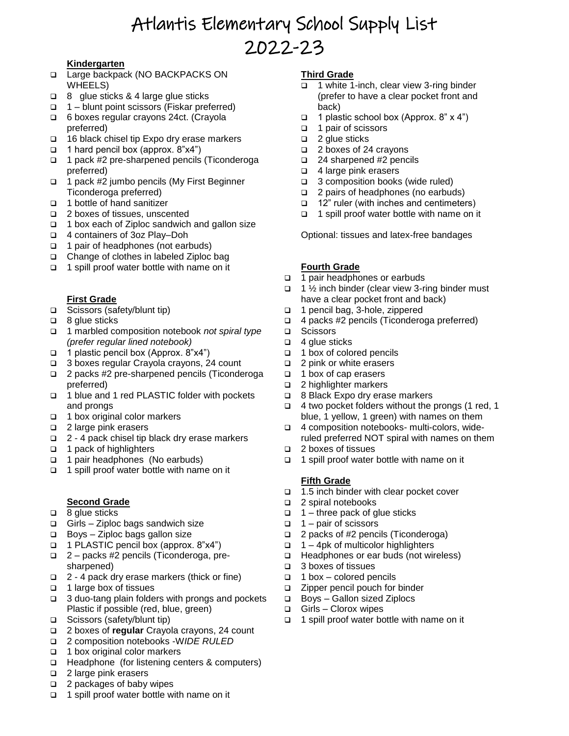# Atlantis Elementary School Supply List 2022-23

### **Kindergarten**

- □ Large backpack (NO BACKPACKS ON WHEELS)
- □ 8 glue sticks & 4 large glue sticks
- 1 blunt point scissors (Fiskar preferred)
- 6 boxes regular crayons 24ct. (Crayola preferred)
- $\Box$  16 black chisel tip Expo dry erase markers
- 1 hard pencil box (approx.  $8"x4"$ )
- □ 1 pack #2 pre-sharpened pencils (Ticonderoga preferred)
- □ 1 pack #2 jumbo pencils (My First Beginner Ticonderoga preferred)
- 1 bottle of hand sanitizer
- □ 2 boxes of tissues, unscented
- □ 1 box each of Ziploc sandwich and gallon size
- 4 containers of 3oz Play–Doh
- □ 1 pair of headphones (not earbuds)
- $\Box$  Change of clothes in labeled Ziploc bag
- $\Box$  1 spill proof water bottle with name on it

## **First Grade**

- □ Scissors (safety/blunt tip)
- $\Box$  8 glue sticks
- 1 marbled composition notebook *not spiral type (prefer regular lined notebook)*
- 1 plastic pencil box (Approx. 8"x4")
- 3 boxes regular Crayola crayons, 24 count
- 2 packs #2 pre-sharpened pencils (Ticonderoga preferred)
- 1 blue and 1 red PLASTIC folder with pockets and prongs
- 1 box original color markers
- □ 2 large pink erasers
- $\Box$  2 4 pack chisel tip black dry erase markers
- $\Box$  1 pack of highlighters
- □ 1 pair headphones (No earbuds)
- □ 1 spill proof water bottle with name on it

#### **Second Grade**

- $\Box$  8 glue sticks
- $\Box$  Girls Ziploc bags sandwich size
- $\Box$  Boys Ziploc bags gallon size
- 1 PLASTIC pencil box (approx. 8"x4")
- 2 packs #2 pencils (Ticonderoga, presharpened)
- 2 4 pack dry erase markers (thick or fine)
- □ 1 large box of tissues
- □ 3 duo-tang plain folders with prongs and pockets Plastic if possible (red, blue, green)
- Scissors (safety/blunt tip)
- 2 boxes of **regular** Crayola crayons, 24 count
- 2 composition notebooks -W*IDE RULED*
- 1 box original color markers
- Headphone (for listening centers & computers)
- □ 2 large pink erasers
- $\Box$  2 packages of baby wipes
- □ 1 spill proof water bottle with name on it

#### **Third Grade**

- 1 white 1-inch, clear view 3-ring binder (prefer to have a clear pocket front and back)
- 1 plastic school box (Approx. 8"  $x$  4")
- □ 1 pair of scissors
- $\Box$  2 glue sticks
- □ 2 boxes of 24 crayons
- 24 sharpened #2 pencils
- □ 4 large pink erasers
- □ 3 composition books (wide ruled)
- □ 2 pairs of headphones (no earbuds)
- 12" ruler (with inches and centimeters)
- 1 spill proof water bottle with name on it

Optional: tissues and latex-free bandages

#### **Fourth Grade**

- □ 1 pair headphones or earbuds
- $\Box$  1 % inch binder (clear view 3-ring binder must have a clear pocket front and back)
- 1 pencil bag, 3-hole, zippered
- $\Box$  4 packs #2 pencils (Ticonderoga preferred)
- □ Scissors
- $\Box$  4 glue sticks
- □ 1 box of colored pencils
- $\Box$  2 pink or white erasers
- □ 1 box of cap erasers
- □ 2 highlighter markers
- □ 8 Black Expo dry erase markers
- $\Box$  4 two pocket folders without the prongs (1 red, 1 blue, 1 yellow, 1 green) with names on them
- 4 composition notebooks- multi-colors, wideruled preferred NOT spiral with names on them
- 2 boxes of tissues
- 1 spill proof water bottle with name on it

#### **Fifth Grade**

- 1.5 inch binder with clear pocket cover
- □ 2 spiral notebooks
- $\Box$  1 three pack of glue sticks
- $\Box$  1 pair of scissors
- □ 2 packs of #2 pencils (Ticonderoga)
- $\Box$  1 4pk of multicolor highlighters
- □ Headphones or ear buds (not wireless)
- 3 boxes of tissues
- $\Box$  1 box colored pencils
- □ Zipper pencil pouch for binder
- □ Boys Gallon sized Ziplocs
- □ Girls Clorox wipes
- $\Box$  1 spill proof water bottle with name on it